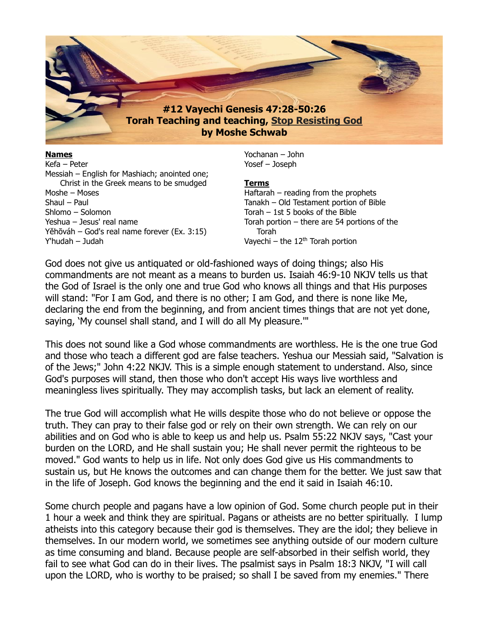

**Names** Kefa – Peter Messiah – English for Mashiach; anointed one; Christ in the Greek means to be smudged Moshe – Moses Shaul – Paul Shlomo – Solomon Yeshua – Jesus' real name Yĕhōváh – God's real name forever (Ex. 3:15) Y'hudah – Judah

Yochanan – John Yosef – Joseph

#### **Terms**

Haftarah – reading from the prophets Tanakh – Old Testament portion of Bible Torah – 1st 5 books of the Bible Torah portion – there are 54 portions of the Torah Vayechi – the  $12<sup>th</sup>$  Torah portion

God does not give us antiquated or old-fashioned ways of doing things; also His commandments are not meant as a means to burden us. Isaiah 46:9-10 NKJV tells us that the God of Israel is the only one and true God who knows all things and that His purposes will stand: "For I am God, and there is no other; I am God, and there is none like Me, declaring the end from the beginning, and from ancient times things that are not yet done, saying, 'My counsel shall stand, and I will do all My pleasure.'"

This does not sound like a God whose commandments are worthless. He is the one true God and those who teach a different god are false teachers. Yeshua our Messiah said, "Salvation is of the Jews;" John 4:22 NKJV. This is a simple enough statement to understand. Also, since God's purposes will stand, then those who don't accept His ways live worthless and meaningless lives spiritually. They may accomplish tasks, but lack an element of reality.

The true God will accomplish what He wills despite those who do not believe or oppose the truth. They can pray to their false god or rely on their own strength. We can rely on our abilities and on God who is able to keep us and help us. Psalm 55:22 NKJV says, "Cast your burden on the LORD, and He shall sustain you; He shall never permit the righteous to be moved." God wants to help us in life. Not only does God give us His commandments to sustain us, but He knows the outcomes and can change them for the better. We just saw that in the life of Joseph. God knows the beginning and the end it said in Isaiah 46:10.

Some church people and pagans have a low opinion of God. Some church people put in their 1 hour a week and think they are spiritual. Pagans or atheists are no better spiritually. I lump atheists into this category because their god is themselves. They are the idol; they believe in themselves. In our modern world, we sometimes see anything outside of our modern culture as time consuming and bland. Because people are self-absorbed in their selfish world, they fail to see what God can do in their lives. The psalmist says in Psalm 18:3 NKJV, "I will call upon the LORD, who is worthy to be praised; so shall I be saved from my enemies." There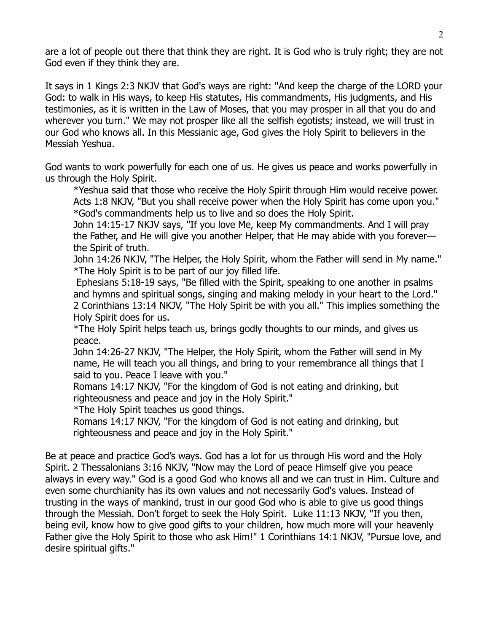are a lot of people out there that think they are right. It is God who is truly right; they are not God even if they think they are.

It says in 1 Kings 2:3 NKJV that God's ways are right: "And keep the charge of the LORD your God: to walk in His ways, to keep His statutes, His commandments, His judgments, and His testimonies, as it is written in the Law of Moses, that you may prosper in all that you do and wherever you turn." We may not prosper like all the selfish egotists; instead, we will trust in our God who knows all. In this Messianic age, God gives the Holy Spirit to believers in the Messiah Yeshua.

God wants to work powerfully for each one of us. He gives us peace and works powerfully in us through the Holy Spirit.

\*Yeshua said that those who receive the Holy Spirit through Him would receive power. Acts 1:8 NKJV, "But you shall receive power when the Holy Spirit has come upon you." \*God's commandments help us to live and so does the Holy Spirit.

John 14:15-17 NKJV says, "If you love Me, keep My commandments. And I will pray the Father, and He will give you another Helper, that He may abide with you forever the Spirit of truth.

John 14:26 NKJV, "The Helper, the Holy Spirit, whom the Father will send in My name." \*The Holy Spirit is to be part of our joy filled life.

Ephesians 5:18-19 says, "Be filled with the Spirit, speaking to one another in psalms and hymns and spiritual songs, singing and making melody in your heart to the Lord." 2 Corinthians 13:14 NKJV, "The Holy Spirit be with you all." This implies something the Holy Spirit does for us.

\*The Holy Spirit helps teach us, brings godly thoughts to our minds, and gives us peace.

John 14:26-27 NKJV, "The Helper, the Holy Spirit, whom the Father will send in My name, He will teach you all things, and bring to your remembrance all things that I said to you. Peace I leave with you."

Romans 14:17 NKJV, "For the kingdom of God is not eating and drinking, but righteousness and peace and joy in the Holy Spirit."

\*The Holy Spirit teaches us good things.

Romans 14:17 NKJV, "For the kingdom of God is not eating and drinking, but righteousness and peace and joy in the Holy Spirit."

Be at peace and practice God's ways. God has a lot for us through His word and the Holy Spirit. 2 Thessalonians 3:16 NKJV, "Now may the Lord of peace Himself give you peace always in every way." God is a good God who knows all and we can trust in Him. Culture and even some churchianity has its own values and not necessarily God's values. Instead of trusting in the ways of mankind, trust in our good God who is able to give us good things through the Messiah. Don't forget to seek the Holy Spirit. Luke 11:13 NKJV, "If you then, being evil, know how to give good gifts to your children, how much more will your heavenly Father give the Holy Spirit to those who ask Him!" 1 Corinthians 14:1 NKJV, "Pursue love, and desire spiritual gifts."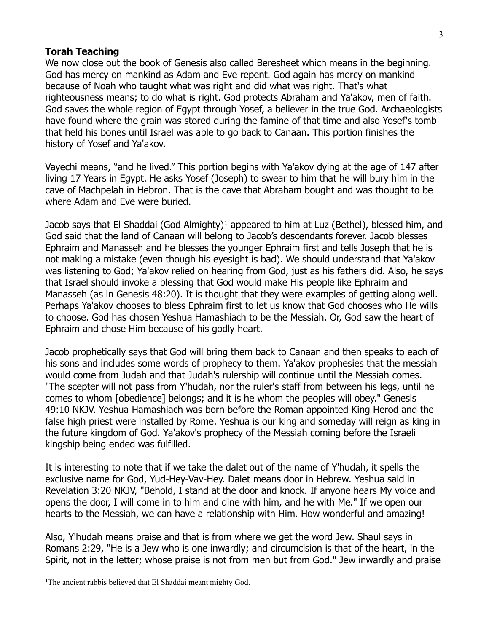#### **Torah Teaching**

We now close out the book of Genesis also called Beresheet which means in the beginning. God has mercy on mankind as Adam and Eve repent. God again has mercy on mankind because of Noah who taught what was right and did what was right. That's what righteousness means; to do what is right. God protects Abraham and Ya'akov, men of faith. God saves the whole region of Egypt through Yosef, a believer in the true God. Archaeologists have found where the grain was stored during the famine of that time and also Yosef's tomb that held his bones until Israel was able to go back to Canaan. This portion finishes the history of Yosef and Ya'akov.

Vayechi means, "and he lived." This portion begins with Ya'akov dying at the age of 147 after living 17 Years in Egypt. He asks Yosef (Joseph) to swear to him that he will bury him in the cave of Machpelah in Hebron. That is the cave that Abraham bought and was thought to be where Adam and Eve were buried.

Jacob says that El Shaddai (God Almighty)<sup>1</sup> appeared to him at Luz (Bethel), blessed him, and God said that the land of Canaan will belong to Jacob's descendants forever. Jacob blesses Ephraim and Manasseh and he blesses the younger Ephraim first and tells Joseph that he is not making a mistake (even though his eyesight is bad). We should understand that Ya'akov was listening to God; Ya'akov relied on hearing from God, just as his fathers did. Also, he says that Israel should invoke a blessing that God would make His people like Ephraim and Manasseh (as in Genesis 48:20). It is thought that they were examples of getting along well. Perhaps Ya'akov chooses to bless Ephraim first to let us know that God chooses who He wills to choose. God has chosen Yeshua Hamashiach to be the Messiah. Or, God saw the heart of Ephraim and chose Him because of his godly heart.

Jacob prophetically says that God will bring them back to Canaan and then speaks to each of his sons and includes some words of prophecy to them. Ya'akov prophesies that the messiah would come from Judah and that Judah's rulership will continue until the Messiah comes. "The scepter will not pass from Y'hudah, nor the ruler's staff from between his legs, until he comes to whom [obedience] belongs; and it is he whom the peoples will obey." Genesis 49:10 NKJV. Yeshua Hamashiach was born before the Roman appointed King Herod and the false high priest were installed by Rome. Yeshua is our king and someday will reign as king in the future kingdom of God. Ya'akov's prophecy of the Messiah coming before the Israeli kingship being ended was fulfilled.

It is interesting to note that if we take the dalet out of the name of Y'hudah, it spells the exclusive name for God, Yud-Hey-Vav-Hey. Dalet means door in Hebrew. Yeshua said in Revelation 3:20 NKJV, "Behold, I stand at the door and knock. If anyone hears My voice and opens the door, I will come in to him and dine with him, and he with Me." If we open our hearts to the Messiah, we can have a relationship with Him. How wonderful and amazing!

Also, Y'hudah means praise and that is from where we get the word Jew. Shaul says in Romans 2:29, "He is a Jew who is one inwardly; and circumcision is that of the heart, in the Spirit, not in the letter; whose praise is not from men but from God." Jew inwardly and praise

<sup>&</sup>lt;sup>1</sup>The ancient rabbis believed that El Shaddai meant mighty God.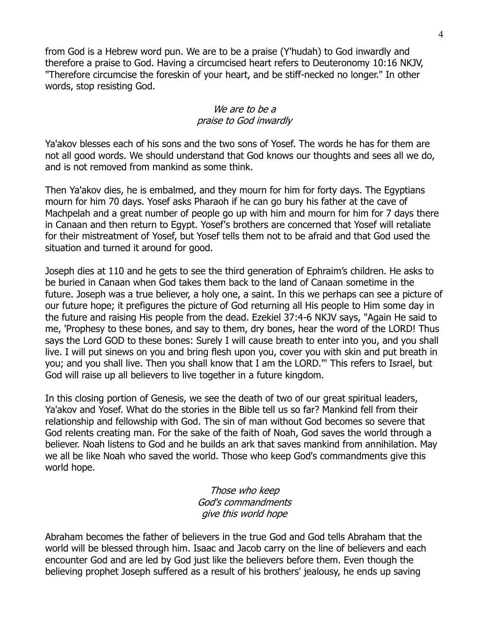from God is a Hebrew word pun. We are to be a praise (Y'hudah) to God inwardly and therefore a praise to God. Having a circumcised heart refers to Deuteronomy 10:16 NKJV, "Therefore circumcise the foreskin of your heart, and be stiff-necked no longer." In other words, stop resisting God.

#### We are to be a praise to God inwardly

Ya'akov blesses each of his sons and the two sons of Yosef. The words he has for them are not all good words. We should understand that God knows our thoughts and sees all we do, and is not removed from mankind as some think.

Then Ya'akov dies, he is embalmed, and they mourn for him for forty days. The Egyptians mourn for him 70 days. Yosef asks Pharaoh if he can go bury his father at the cave of Machpelah and a great number of people go up with him and mourn for him for 7 days there in Canaan and then return to Egypt. Yosef's brothers are concerned that Yosef will retaliate for their mistreatment of Yosef, but Yosef tells them not to be afraid and that God used the situation and turned it around for good.

Joseph dies at 110 and he gets to see the third generation of Ephraim's children. He asks to be buried in Canaan when God takes them back to the land of Canaan sometime in the future. Joseph was a true believer, a holy one, a saint. In this we perhaps can see a picture of our future hope; it prefigures the picture of God returning all His people to Him some day in the future and raising His people from the dead. Ezekiel 37:4-6 NKJV says, "Again He said to me, 'Prophesy to these bones, and say to them, dry bones, hear the word of the LORD! Thus says the Lord GOD to these bones: Surely I will cause breath to enter into you, and you shall live. I will put sinews on you and bring flesh upon you, cover you with skin and put breath in you; and you shall live. Then you shall know that I am the LORD."' This refers to Israel, but God will raise up all believers to live together in a future kingdom.

In this closing portion of Genesis, we see the death of two of our great spiritual leaders, Ya'akov and Yosef. What do the stories in the Bible tell us so far? Mankind fell from their relationship and fellowship with God. The sin of man without God becomes so severe that God relents creating man. For the sake of the faith of Noah, God saves the world through a believer. Noah listens to God and he builds an ark that saves mankind from annihilation. May we all be like Noah who saved the world. Those who keep God's commandments give this world hope.

> Those who keep God's commandments give this world hope

Abraham becomes the father of believers in the true God and God tells Abraham that the world will be blessed through him. Isaac and Jacob carry on the line of believers and each encounter God and are led by God just like the believers before them. Even though the believing prophet Joseph suffered as a result of his brothers' jealousy, he ends up saving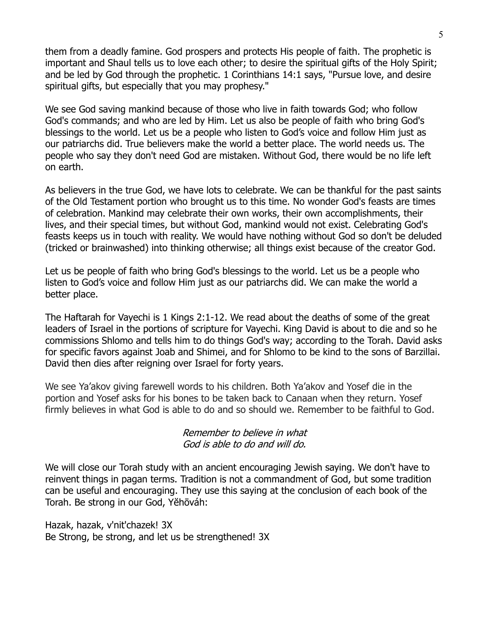them from a deadly famine. God prospers and protects His people of faith. The prophetic is important and Shaul tells us to love each other; to desire the spiritual gifts of the Holy Spirit; and be led by God through the prophetic. 1 Corinthians 14:1 says, "Pursue love, and desire spiritual gifts, but especially that you may prophesy."

We see God saving mankind because of those who live in faith towards God; who follow God's commands; and who are led by Him. Let us also be people of faith who bring God's blessings to the world. Let us be a people who listen to God's voice and follow Him just as our patriarchs did. True believers make the world a better place. The world needs us. The people who say they don't need God are mistaken. Without God, there would be no life left on earth.

As believers in the true God, we have lots to celebrate. We can be thankful for the past saints of the Old Testament portion who brought us to this time. No wonder God's feasts are times of celebration. Mankind may celebrate their own works, their own accomplishments, their lives, and their special times, but without God, mankind would not exist. Celebrating God's feasts keeps us in touch with reality. We would have nothing without God so don't be deluded (tricked or brainwashed) into thinking otherwise; all things exist because of the creator God.

Let us be people of faith who bring God's blessings to the world. Let us be a people who listen to God's voice and follow Him just as our patriarchs did. We can make the world a better place.

The Haftarah for Vayechi is 1 Kings 2:1-12. We read about the deaths of some of the great leaders of Israel in the portions of scripture for Vayechi. King David is about to die and so he commissions Shlomo and tells him to do things God's way; according to the Torah. David asks for specific favors against Joab and Shimei, and for Shlomo to be kind to the sons of Barzillai. David then dies after reigning over Israel for forty years.

We see Ya'akov giving farewell words to his children. Both Ya'akov and Yosef die in the portion and Yosef asks for his bones to be taken back to Canaan when they return. Yosef firmly believes in what God is able to do and so should we. Remember to be faithful to God.

#### Remember to believe in what God is able to do and will do.

We will close our Torah study with an ancient encouraging Jewish saying. We don't have to reinvent things in pagan terms. Tradition is not a commandment of God, but some tradition can be useful and encouraging. They use this saying at the conclusion of each book of the Torah. Be strong in our God, Yĕhōváh:

Hazak, hazak, v'nit'chazek! 3X Be Strong, be strong, and let us be strengthened! 3X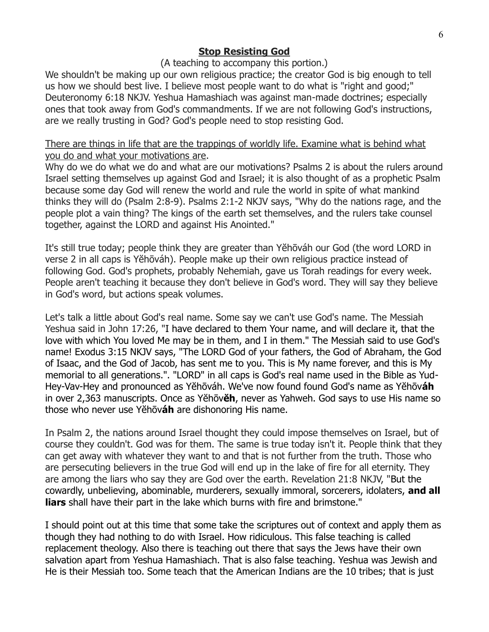## **Stop Resisting God**

#### (A teaching to accompany this portion.)

We shouldn't be making up our own religious practice; the creator God is big enough to tell us how we should best live. I believe most people want to do what is "right and good;" Deuteronomy 6:18 NKJV. Yeshua Hamashiach was against man-made doctrines; especially ones that took away from God's commandments. If we are not following God's instructions, are we really trusting in God? God's people need to stop resisting God.

### There are things in life that are the trappings of worldly life. Examine what is behind what you do and what your motivations are.

Why do we do what we do and what are our motivations? Psalms 2 is about the rulers around Israel setting themselves up against God and Israel; it is also thought of as a prophetic Psalm because some day God will renew the world and rule the world in spite of what mankind thinks they will do (Psalm 2:8-9). Psalms 2:1-2 NKJV says, "Why do the nations rage, and the people plot a vain thing? The kings of the earth set themselves, and the rulers take counsel together, against the LORD and against His Anointed."

It's still true today; people think they are greater than Yĕhōváh our God (the word LORD in verse 2 in all caps is Yĕhōváh). People make up their own religious practice instead of following God. God's prophets, probably Nehemiah, gave us Torah readings for every week. People aren't teaching it because they don't believe in God's word. They will say they believe in God's word, but actions speak volumes.

Let's talk a little about God's real name. Some say we can't use God's name. The Messiah Yeshua said in John 17:26, "I have declared to them Your name, and will declare it, that the love with which You loved Me may be in them, and I in them." The Messiah said to use God's name! Exodus 3:15 NKJV says, "The LORD God of your fathers, the God of Abraham, the God of Isaac, and the God of Jacob, has sent me to you. This is My name forever, and this is My memorial to all generations.". "LORD" in all caps is God's real name used in the Bible as Yud-Hey-Vav-Hey and pronounced as Yĕhōváh. We've now found found God's name as Yĕhōv**áh** in over 2,363 manuscripts. Once as Yĕhōv**ĕh**, never as Yahweh. God says to use His name so those who never use Yĕhōv**áh** are dishonoring His name.

In Psalm 2, the nations around Israel thought they could impose themselves on Israel, but of course they couldn't. God was for them. The same is true today isn't it. People think that they can get away with whatever they want to and that is not further from the truth. Those who are persecuting believers in the true God will end up in the lake of fire for all eternity. They are among the liars who say they are God over the earth. Revelation 21:8 NKJV, "But the cowardly, unbelieving, abominable, murderers, sexually immoral, sorcerers, idolaters, **and all liars** shall have their part in the lake which burns with fire and brimstone."

I should point out at this time that some take the scriptures out of context and apply them as though they had nothing to do with Israel. How ridiculous. This false teaching is called replacement theology. Also there is teaching out there that says the Jews have their own salvation apart from Yeshua Hamashiach. That is also false teaching. Yeshua was Jewish and He is their Messiah too. Some teach that the American Indians are the 10 tribes; that is just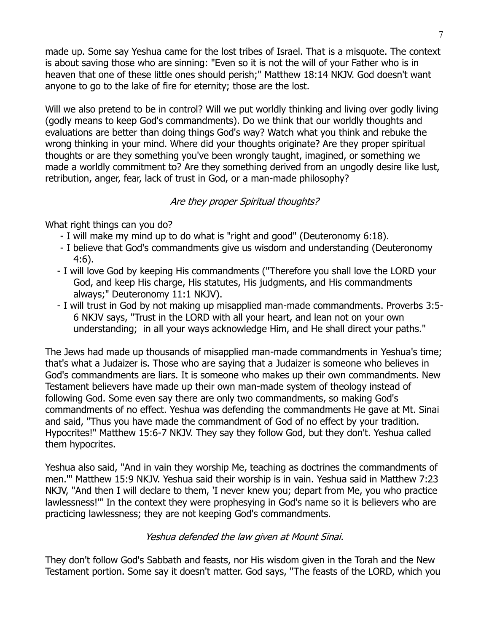made up. Some say Yeshua came for the lost tribes of Israel. That is a misquote. The context is about saving those who are sinning: "Even so it is not the will of your Father who is in heaven that one of these little ones should perish;" Matthew 18:14 NKJV. God doesn't want anyone to go to the lake of fire for eternity; those are the lost.

Will we also pretend to be in control? Will we put worldly thinking and living over godly living (godly means to keep God's commandments). Do we think that our worldly thoughts and evaluations are better than doing things God's way? Watch what you think and rebuke the wrong thinking in your mind. Where did your thoughts originate? Are they proper spiritual thoughts or are they something you've been wrongly taught, imagined, or something we made a worldly commitment to? Are they something derived from an ungodly desire like lust, retribution, anger, fear, lack of trust in God, or a man-made philosophy?

### Are they proper Spiritual thoughts?

What right things can you do?

- I will make my mind up to do what is "right and good" (Deuteronomy 6:18).
- I believe that God's commandments give us wisdom and understanding (Deuteronomy 4:6).
- I will love God by keeping His commandments ("Therefore you shall love the LORD your God, and keep His charge, His statutes, His judgments, and His commandments always;" Deuteronomy 11:1 NKJV).
- I will trust in God by not making up misapplied man-made commandments. Proverbs 3:5- 6 NKJV says, "Trust in the LORD with all your heart, and lean not on your own understanding; in all your ways acknowledge Him, and He shall direct your paths."

The Jews had made up thousands of misapplied man-made commandments in Yeshua's time; that's what a Judaizer is. Those who are saying that a Judaizer is someone who believes in God's commandments are liars. It is someone who makes up their own commandments. New Testament believers have made up their own man-made system of theology instead of following God. Some even say there are only two commandments, so making God's commandments of no effect. Yeshua was defending the commandments He gave at Mt. Sinai and said, "Thus you have made the commandment of God of no effect by your tradition. Hypocrites!" Matthew 15:6-7 NKJV. They say they follow God, but they don't. Yeshua called them hypocrites.

Yeshua also said, "And in vain they worship Me, teaching as doctrines the commandments of men.'" Matthew 15:9 NKJV. Yeshua said their worship is in vain. Yeshua said in Matthew 7:23 NKJV, "And then I will declare to them, 'I never knew you; depart from Me, you who practice lawlessness!'" In the context they were prophesying in God's name so it is believers who are practicing lawlessness; they are not keeping God's commandments.

### Yeshua defended the law given at Mount Sinai.

They don't follow God's Sabbath and feasts, nor His wisdom given in the Torah and the New Testament portion. Some say it doesn't matter. God says, "The feasts of the LORD, which you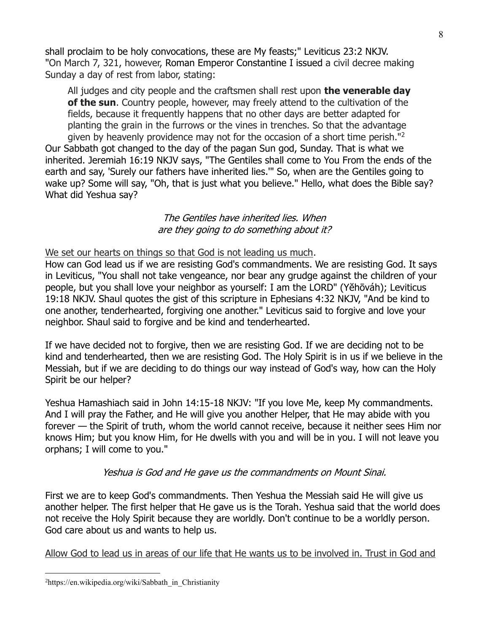shall proclaim to be holy convocations, these are My feasts;" Leviticus 23:2 NKJV. "On March 7, 321, however, [Roman Emperor Constantine I](https://en.wikipedia.org/wiki/Constantine_the_Great) issued a civil decree making Sunday a day of rest from labor, stating:

All judges and city people and the craftsmen shall rest upon **the venerable day of the sun**. Country people, however, may freely attend to the cultivation of the fields, because it frequently happens that no other days are better adapted for planting the grain in the furrows or the vines in trenches. So that the advantage given by heavenly providence may not for the occasion of a short time perish.<sup>"2</sup> Our Sabbath got changed to the day of the pagan Sun god, Sunday. That is what we inherited. Jeremiah 16:19 NKJV says, "The Gentiles shall come to You From the ends of the earth and say, 'Surely our fathers have inherited lies.'" So, when are the Gentiles going to wake up? Some will say, "Oh, that is just what you believe." Hello, what does the Bible say? What did Yeshua say?

#### The Gentiles have inherited lies. When are they going to do something about it?

We set our hearts on things so that God is not leading us much.

How can God lead us if we are resisting God's commandments. We are resisting God. It says in Leviticus, "You shall not take vengeance, nor bear any grudge against the children of your people, but you shall love your neighbor as yourself: I am the LORD" (Yĕhōváh); Leviticus 19:18 NKJV. Shaul quotes the gist of this scripture in Ephesians 4:32 NKJV, "And be kind to one another, tenderhearted, forgiving one another." Leviticus said to forgive and love your neighbor. Shaul said to forgive and be kind and tenderhearted.

If we have decided not to forgive, then we are resisting God. If we are deciding not to be kind and tenderhearted, then we are resisting God. The Holy Spirit is in us if we believe in the Messiah, but if we are deciding to do things our way instead of God's way, how can the Holy Spirit be our helper?

Yeshua Hamashiach said in John 14:15-18 NKJV: "If you love Me, keep My commandments. And I will pray the Father, and He will give you another Helper, that He may abide with you forever — the Spirit of truth, whom the world cannot receive, because it neither sees Him nor knows Him; but you know Him, for He dwells with you and will be in you. I will not leave you orphans; I will come to you."

### Yeshua is God and He gave us the commandments on Mount Sinai.

First we are to keep God's commandments. Then Yeshua the Messiah said He will give us another helper. The first helper that He gave us is the Torah. Yeshua said that the world does not receive the Holy Spirit because they are worldly. Don't continue to be a worldly person. God care about us and wants to help us.

Allow God to lead us in areas of our life that He wants us to be involved in. Trust in God and

<sup>2</sup>https://en.wikipedia.org/wiki/Sabbath\_in\_Christianity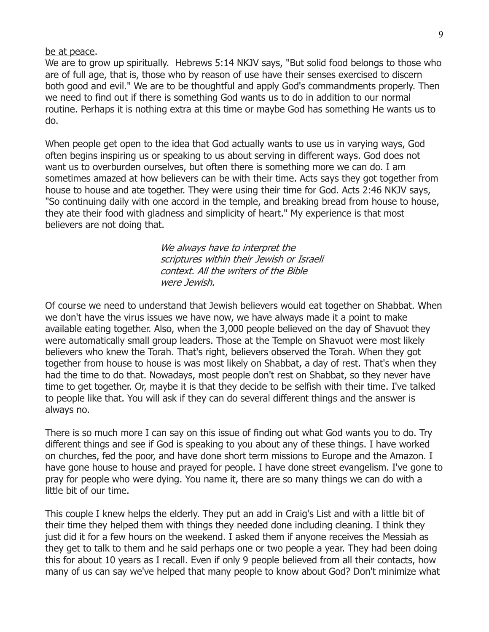be at peace.

We are to grow up spiritually. Hebrews 5:14 NKJV says, "But solid food belongs to those who are of full age, that is, those who by reason of use have their senses exercised to discern both good and evil." We are to be thoughtful and apply God's commandments properly. Then we need to find out if there is something God wants us to do in addition to our normal routine. Perhaps it is nothing extra at this time or maybe God has something He wants us to do.

When people get open to the idea that God actually wants to use us in varying ways, God often begins inspiring us or speaking to us about serving in different ways. God does not want us to overburden ourselves, but often there is something more we can do. I am sometimes amazed at how believers can be with their time. Acts says they got together from house to house and ate together. They were using their time for God. Acts 2:46 NKJV says, "So continuing daily with one accord in the temple, and breaking bread from house to house, they ate their food with gladness and simplicity of heart." My experience is that most believers are not doing that.

> We always have to interpret the scriptures within their Jewish or Israeli context. All the writers of the Bible were Jewish.

Of course we need to understand that Jewish believers would eat together on Shabbat. When we don't have the virus issues we have now, we have always made it a point to make available eating together. Also, when the 3,000 people believed on the day of Shavuot they were automatically small group leaders. Those at the Temple on Shavuot were most likely believers who knew the Torah. That's right, believers observed the Torah. When they got together from house to house is was most likely on Shabbat, a day of rest. That's when they had the time to do that. Nowadays, most people don't rest on Shabbat, so they never have time to get together. Or, maybe it is that they decide to be selfish with their time. I've talked to people like that. You will ask if they can do several different things and the answer is always no.

There is so much more I can say on this issue of finding out what God wants you to do. Try different things and see if God is speaking to you about any of these things. I have worked on churches, fed the poor, and have done short term missions to Europe and the Amazon. I have gone house to house and prayed for people. I have done street evangelism. I've gone to pray for people who were dying. You name it, there are so many things we can do with a little bit of our time.

This couple I knew helps the elderly. They put an add in Craig's List and with a little bit of their time they helped them with things they needed done including cleaning. I think they just did it for a few hours on the weekend. I asked them if anyone receives the Messiah as they get to talk to them and he said perhaps one or two people a year. They had been doing this for about 10 years as I recall. Even if only 9 people believed from all their contacts, how many of us can say we've helped that many people to know about God? Don't minimize what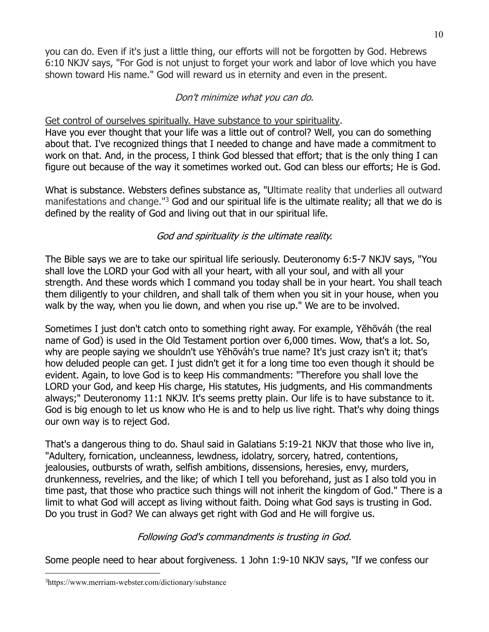you can do. Even if it's just a little thing, our efforts will not be forgotten by God. Hebrews 6:10 NKJV says, "For God is not unjust to forget your work and labor of love which you have shown toward His name." God will reward us in eternity and even in the present.

## Don't minimize what you can do.

## Get control of ourselves spiritually. Have substance to your spirituality.

Have you ever thought that your life was a little out of control? Well, you can do something about that. I've recognized things that I needed to change and have made a commitment to work on that. And, in the process, I think God blessed that effort; that is the only thing I can figure out because of the way it sometimes worked out. God can bless our efforts; He is God.

What is substance. Websters defines substance as, "Ultimate reality that underlies all outward manifestations and change."<sup>3</sup> God and our spiritual life is the ultimate reality; all that we do is defined by the reality of God and living out that in our spiritual life.

# God and spirituality is the ultimate reality.

The Bible says we are to take our spiritual life seriously. Deuteronomy 6:5-7 NKJV says, "You shall love the LORD your God with all your heart, with all your soul, and with all your strength. And these words which I command you today shall be in your heart. You shall teach them diligently to your children, and shall talk of them when you sit in your house, when you walk by the way, when you lie down, and when you rise up." We are to be involved.

Sometimes I just don't catch onto to something right away. For example, Yĕhōváh (the real name of God) is used in the Old Testament portion over 6,000 times. Wow, that's a lot. So, why are people saying we shouldn't use Yĕhōváh's true name? It's just crazy isn't it; that's how deluded people can get. I just didn't get it for a long time too even though it should be evident. Again, to love God is to keep His commandments: "Therefore you shall love the LORD your God, and keep His charge, His statutes, His judgments, and His commandments always;" Deuteronomy 11:1 NKJV. It's seems pretty plain. Our life is to have substance to it. God is big enough to let us know who He is and to help us live right. That's why doing things our own way is to reject God.

That's a dangerous thing to do. Shaul said in Galatians 5:19-21 NKJV that those who live in, "Adultery, fornication, uncleanness, lewdness, idolatry, sorcery, hatred, contentions, jealousies, outbursts of wrath, selfish ambitions, dissensions, heresies, envy, murders, drunkenness, revelries, and the like; of which I tell you beforehand, just as I also told you in time past, that those who practice such things will not inherit the kingdom of God." There is a limit to what God will accept as living without faith. Doing what God says is trusting in God. Do you trust in God? We can always get right with God and He will forgive us.

## Following God's commandments is trusting in God.

Some people need to hear about forgiveness. 1 John 1:9-10 NKJV says, "If we confess our

<sup>3</sup>https://www.merriam-webster.com/dictionary/substance